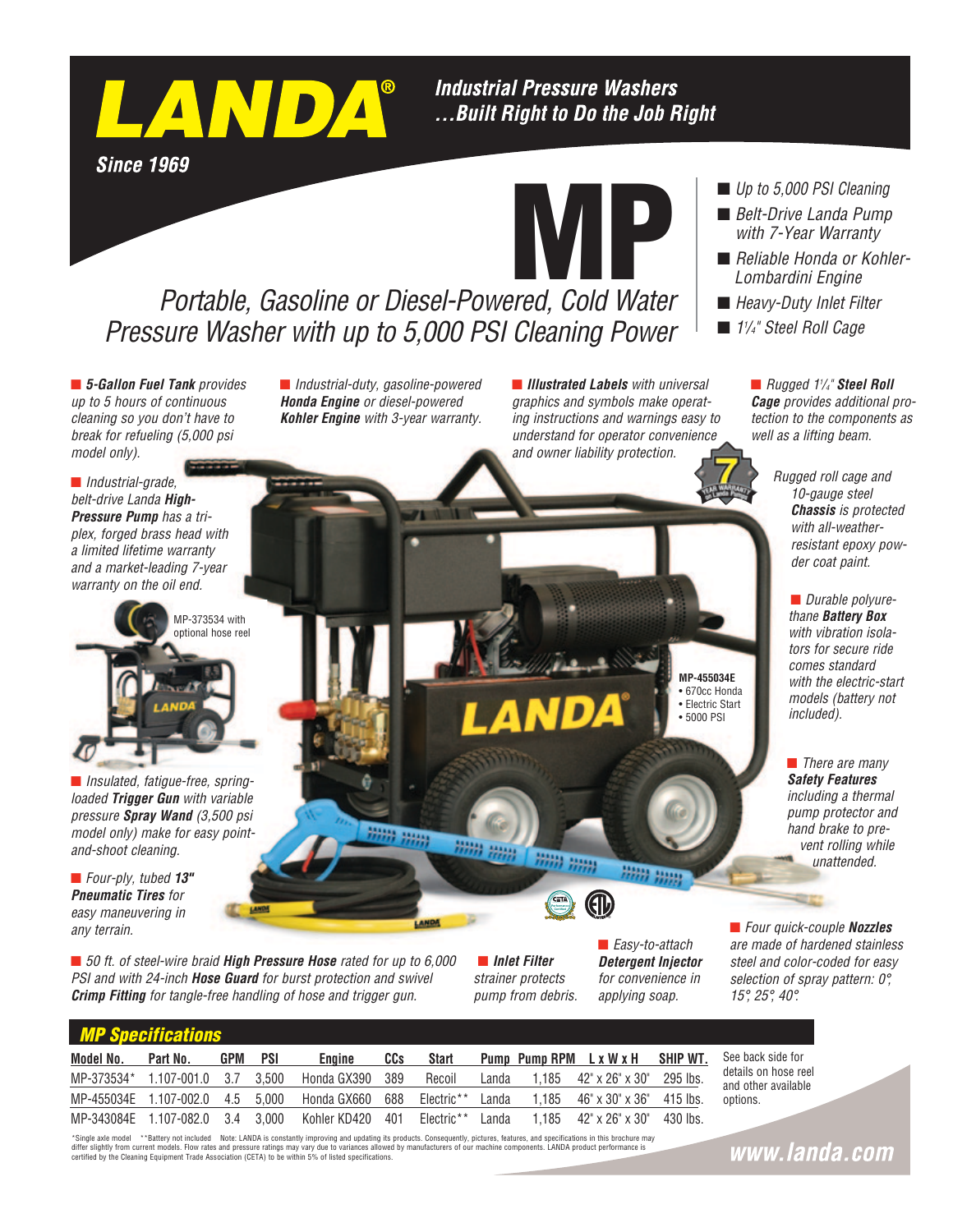

## **Industrial Pressure Washers** ... Built Right to Do the Job Right

**Since 1969** 



## *Portable, Gasoline or Diesel-Powered, Cold Water Pressure Washer with up to 5,000 PSI Cleaning Power*

■ 5-Gallon Fuel Tank *provides up to 5 hours of continuous cleaning so you don't have to break for refueling (5,000 psi model only).*

n *Industrial-duty, gasoline-powered Honda Engine or diesel-powered Kohler Engine with 3-year warranty.* **n** *Illustrated Labels* with universal *graphics and symbols make operating instructions and warnings easy to understand for operator convenience and owner liability protection.*

#### ■ *Up to 5,000 PSI Cleaning*

- *Belt-Drive Landa Pump with 7-Year Warranty*
- Reliable Honda or Kohler-*Lombardini Engine*
- Heavy-Duty Inlet Filter
- n *11 /4" Steel Roll Cage*

■ *Rugged 1<sup>1</sup>/<sub>4</sub>"* Steel Roll *Cage provides additional protection to the components as well as a lifting beam.*

> *Rugged roll cage and 10-gauge steel Chassis is protected with all-weatherresistant epoxy powder coat paint.*

> > **n** *Durable polyurethane Battery Box with vibration isolators for secure ride comes standard with the electric-start models (battery not included).*

*Safety Features including a thermal pump protector and hand brake to prevent rolling while* 

**n** *There are many* 

*unattended.*

■ *Four quick-couple Nozzles are made of hardened stainless steel and color-coded for easy selection of spray pattern: 0°,* 

■ *Industrial-grade*, *belt-drive Landa High-Pressure Pump has a triplex, forged brass head with a limited lifetime warranty and a market-leading 7-year warranty on the oil end.*



**n** *Insulated, fatique-free, springloaded Trigger Gun with variable pressure Spray Wand (3,500 psi model only) make for easy pointand-shoot cleaning.*

n *Four-ply, tubed 13" Pneumatic Tires for easy maneuvering in any terrain.*

 *MP Specifications*

■ 50 ft. of steel-wire braid **High Pressure Hose** rated for up to 6,000 *PSI and with 24-inch Hose Guard for burst protection and swivel Crimp Fitting for tangle-free handling of hose and trigger gun.*

■ *Inlet Filter strainer protects pump from debris.*

limi ima

**EXTA Performance Certified**

inii) mm

■ *Easy-to-attach Detergent Injector for convenience in applying soap.*

**MP-455034E** • 670cc Honda • Electric Start • 5000 PSI

**A** 

| <u>IIII Upuuliuund</u> |                                  |            |     |                  |            |              |       |  |                                              |          |
|------------------------|----------------------------------|------------|-----|------------------|------------|--------------|-------|--|----------------------------------------------|----------|
| Model No.              | Part No.                         | <b>GPM</b> | PSI | Engine           | <b>CCs</b> | <b>Start</b> |       |  | Pump Pump RPM L x W x H SHIP WT.             |          |
|                        | MP-373534* 1.107-001.0 3.7 3.500 |            |     | Honda GX390 389  |            | Recoil       | Landa |  | $1.185$ $42" \times 26" \times 30"$ 295 lbs. |          |
|                        | MP-455034E 1.107-002.0 4.5 5.000 |            |     | Honda GX660      | 688        | Electric**   | Landa |  | $1.185$ 46" x 30" x 36"                      | 415 lbs. |
|                        | MP-343084E 1.107-082.0 3.4 3.000 |            |     | Kohler KD420 401 |            | Electric**   | Landa |  | $1.185$ $42" \times 26" \times 30"$          | 430 lbs. |

See back side for details on hose reel and other available options.

*15°, 25°, 40°.*

\*Single axle model \*\*Battery not included Note: LANDA is constantly improving and updating its products. Consequently, pictures, features, and specifications in this brochure may differ slightly from current models. Flow rates and pressure ratings may vary due to variances allowed by manufacturers of our machine components. LANDA product performance is certified by the Cleaning Equipment Trade Association (CETA) to be within 5% of listed specifications.

开班

www.landa.com